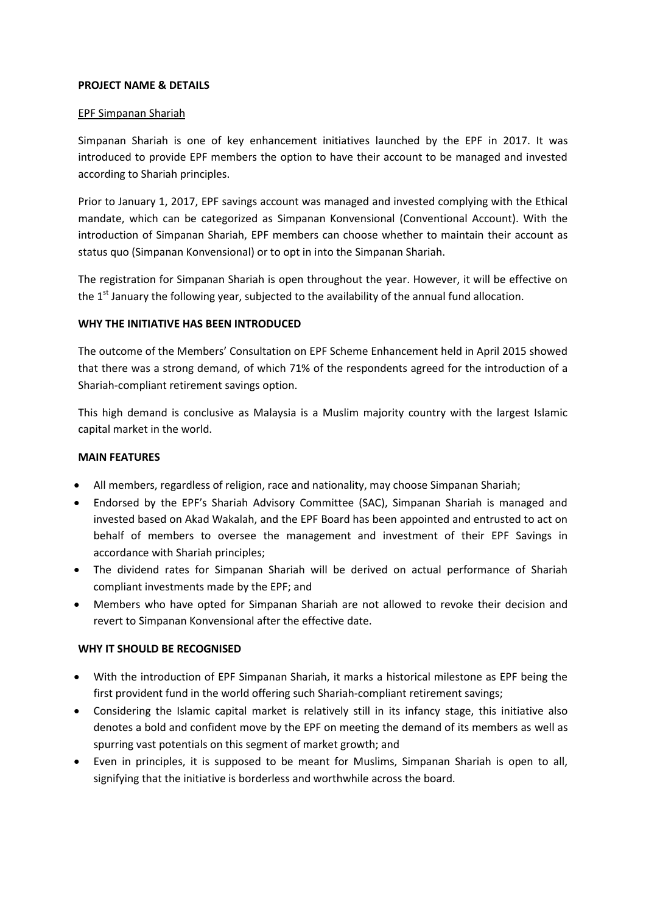### **PROJECT NAME & DETAILS**

#### EPF Simpanan Shariah

Simpanan Shariah is one of key enhancement initiatives launched by the EPF in 2017. It was introduced to provide EPF members the option to have their account to be managed and invested according to Shariah principles.

Prior to January 1, 2017, EPF savings account was managed and invested complying with the Ethical mandate, which can be categorized as Simpanan Konvensional (Conventional Account). With the introduction of Simpanan Shariah, EPF members can choose whether to maintain their account as status quo (Simpanan Konvensional) or to opt in into the Simpanan Shariah.

The registration for Simpanan Shariah is open throughout the year. However, it will be effective on the  $1<sup>st</sup>$  January the following year, subjected to the availability of the annual fund allocation.

## **WHY THE INITIATIVE HAS BEEN INTRODUCED**

The outcome of the Members' Consultation on EPF Scheme Enhancement held in April 2015 showed that there was a strong demand, of which 71% of the respondents agreed for the introduction of a Shariah-compliant retirement savings option.

This high demand is conclusive as Malaysia is a Muslim majority country with the largest Islamic capital market in the world.

# **MAIN FEATURES**

- All members, regardless of religion, race and nationality, may choose Simpanan Shariah;
- Endorsed by the EPF's Shariah Advisory Committee (SAC), Simpanan Shariah is managed and invested based on Akad Wakalah, and the EPF Board has been appointed and entrusted to act on behalf of members to oversee the management and investment of their EPF Savings in accordance with Shariah principles;
- The dividend rates for Simpanan Shariah will be derived on actual performance of Shariah compliant investments made by the EPF; and
- Members who have opted for Simpanan Shariah are not allowed to revoke their decision and revert to Simpanan Konvensional after the effective date.

## **WHY IT SHOULD BE RECOGNISED**

- With the introduction of EPF Simpanan Shariah, it marks a historical milestone as EPF being the first provident fund in the world offering such Shariah-compliant retirement savings;
- Considering the Islamic capital market is relatively still in its infancy stage, this initiative also denotes a bold and confident move by the EPF on meeting the demand of its members as well as spurring vast potentials on this segment of market growth; and
- Even in principles, it is supposed to be meant for Muslims, Simpanan Shariah is open to all, signifying that the initiative is borderless and worthwhile across the board.